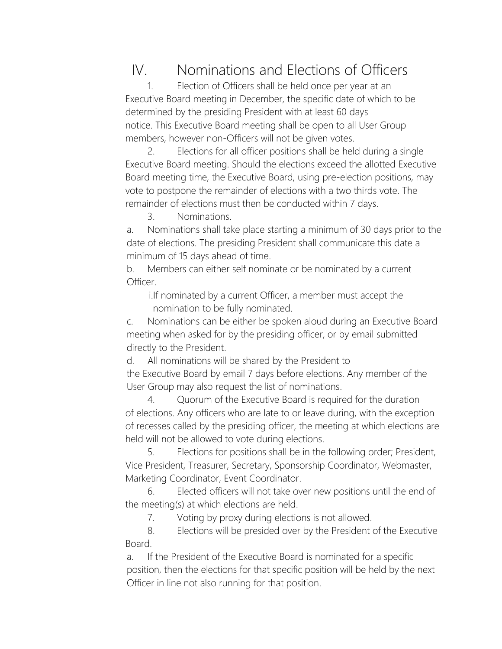## IV. Nominations and Elections of Officers

1. Election of Officers shall be held once per year at an Executive Board meeting in December, the specific date of which to be determined by the presiding President with at least 60 days notice. This Executive Board meeting shall be open to all User Group members, however non-Officers will not be given votes.

2. Elections for all officer positions shall be held during a single Executive Board meeting. Should the elections exceed the allotted Executive Board meeting time, the Executive Board, using pre-election positions, may vote to postpone the remainder of elections with a two thirds vote. The remainder of elections must then be conducted within 7 days.

3. Nominations.

a. Nominations shall take place starting a minimum of 30 days prior to the date of elections. The presiding President shall communicate this date a minimum of 15 days ahead of time.

b. Members can either self nominate or be nominated by a current Officer.

i.If nominated by a current Officer, a member must accept the nomination to be fully nominated.

c. Nominations can be either be spoken aloud during an Executive Board meeting when asked for by the presiding officer, or by email submitted directly to the President.

d. All nominations will be shared by the President to

the Executive Board by email 7 days before elections. Any member of the User Group may also request the list of nominations.

4. Quorum of the Executive Board is required for the duration of elections. Any officers who are late to or leave during, with the exception of recesses called by the presiding officer, the meeting at which elections are held will not be allowed to vote during elections.

5. Elections for positions shall be in the following order; President, Vice President, Treasurer, Secretary, Sponsorship Coordinator, Webmaster, Marketing Coordinator, Event Coordinator.

6. Elected officers will not take over new positions until the end of the meeting(s) at which elections are held.

7. Voting by proxy during elections is not allowed.

8. Elections will be presided over by the President of the Executive Board.

a. If the President of the Executive Board is nominated for a specific position, then the elections for that specific position will be held by the next Officer in line not also running for that position.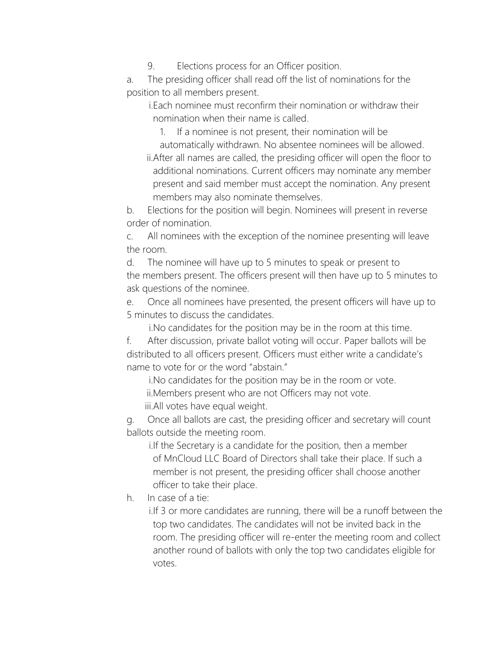9. Elections process for an Officer position.

a. The presiding officer shall read off the list of nominations for the position to all members present.

i.Each nominee must reconfirm their nomination or withdraw their nomination when their name is called.

1. If a nominee is not present, their nomination will be

automatically withdrawn. No absentee nominees will be allowed. ii.After all names are called, the presiding officer will open the floor to additional nominations. Current officers may nominate any member present and said member must accept the nomination. Any present members may also nominate themselves.

b. Elections for the position will begin. Nominees will present in reverse order of nomination.

c. All nominees with the exception of the nominee presenting will leave the room.

d. The nominee will have up to 5 minutes to speak or present to the members present. The officers present will then have up to 5 minutes to ask questions of the nominee.

e. Once all nominees have presented, the present officers will have up to 5 minutes to discuss the candidates.

i.No candidates for the position may be in the room at this time.

f. After discussion, private ballot voting will occur. Paper ballots will be distributed to all officers present. Officers must either write a candidate's name to vote for or the word "abstain."

i.No candidates for the position may be in the room or vote. ii.Members present who are not Officers may not vote.

iii.All votes have equal weight.

g. Once all ballots are cast, the presiding officer and secretary will count ballots outside the meeting room.

i.If the Secretary is a candidate for the position, then a member of MnCloud LLC Board of Directors shall take their place. If such a member is not present, the presiding officer shall choose another officer to take their place.

h. In case of a tie:

i.If 3 or more candidates are running, there will be a runoff between the top two candidates. The candidates will not be invited back in the room. The presiding officer will re-enter the meeting room and collect another round of ballots with only the top two candidates eligible for votes.